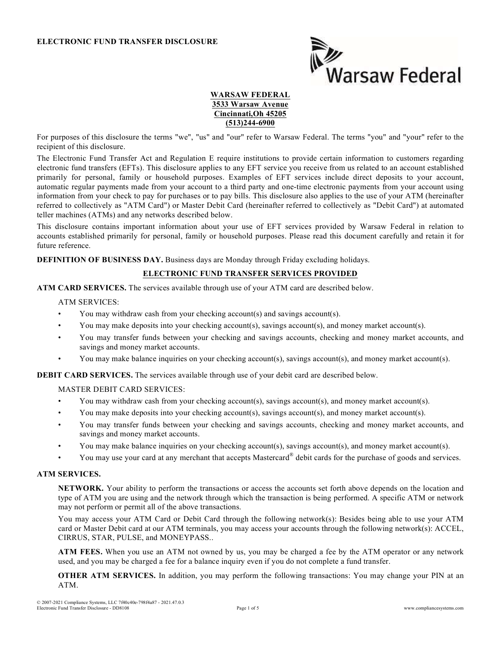

### WARSAW FEDERAL 3533 Warsaw Avenue Cincinnati,Oh 45205 (513)244-6900

For purposes of this disclosure the terms "we", "us" and "our" refer to Warsaw Federal. The terms "you" and "your" refer to the recipient of this disclosure.

The Electronic Fund Transfer Act and Regulation E require institutions to provide certain information to customers regarding electronic fund transfers (EFTs). This disclosure applies to any EFT service you receive from us related to an account established primarily for personal, family or household purposes. Examples of EFT services include direct deposits to your account, automatic regular payments made from your account to a third party and one-time electronic payments from your account using information from your check to pay for purchases or to pay bills. This disclosure also applies to the use of your ATM (hereinafter referred to collectively as "ATM Card") or Master Debit Card (hereinafter referred to collectively as "Debit Card") at automated teller machines (ATMs) and any networks described below.

This disclosure contains important information about your use of EFT services provided by Warsaw Federal in relation to accounts established primarily for personal, family or household purposes. Please read this document carefully and retain it for future reference.

DEFINITION OF BUSINESS DAY. Business days are Monday through Friday excluding holidays.

# ELECTRONIC FUND TRANSFER SERVICES PROVIDED

ATM CARD SERVICES. The services available through use of your ATM card are described below.

#### ATM SERVICES:

- You may withdraw cash from your checking account(s) and savings account(s).
- You may make deposits into your checking account(s), savings account(s), and money market account(s).
- You may transfer funds between your checking and savings accounts, checking and money market accounts, and savings and money market accounts.
- You may make balance inquiries on your checking account(s), savings account(s), and money market account(s).

DEBIT CARD SERVICES. The services available through use of your debit card are described below.

# MASTER DEBIT CARD SERVICES:

- You may withdraw cash from your checking account(s), savings account(s), and money market account(s).
- You may make deposits into your checking account(s), savings account(s), and money market account(s).
- You may transfer funds between your checking and savings accounts, checking and money market accounts, and savings and money market accounts.
- You may make balance inquiries on your checking account(s), savings account(s), and money market account(s).
- You may use your card at any merchant that accepts Mastercard® debit cards for the purchase of goods and services.

#### ATM SERVICES.

NETWORK. Your ability to perform the transactions or access the accounts set forth above depends on the location and type of ATM you are using and the network through which the transaction is being performed. A specific ATM or network may not perform or permit all of the above transactions.

You may access your ATM Card or Debit Card through the following network(s): Besides being able to use your ATM card or Master Debit card at our ATM terminals, you may access your accounts through the following network(s): ACCEL, CIRRUS, STAR, PULSE, and MONEYPASS..

ATM FEES. When you use an ATM not owned by us, you may be charged a fee by the ATM operator or any network used, and you may be charged a fee for a balance inquiry even if you do not complete a fund transfer.

OTHER ATM SERVICES. In addition, you may perform the following transactions: You may change your PIN at an ATM.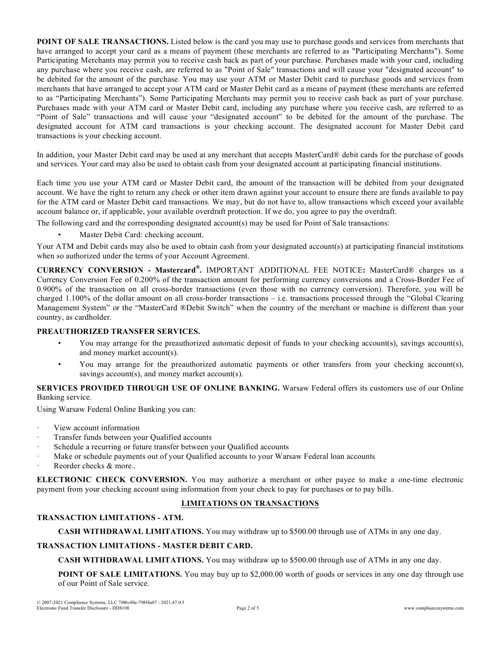POINT OF SALE TRANSACTIONS. Listed below is the card you may use to purchase goods and services from merchants that have arranged to accept your card as a means of payment (these merchants are referred to as "Participating Merchants"). Some Participating Merchants may permit you to receive cash back as part of your purchase. Purchases made with your card, including any purchase where you receive cash, are referred to as "Point of Sale" transactions and will cause your "designated account" to be debited for the amount of the purchase. You may use your ATM or Master Debit card to purchase goods and services from merchants that have arranged to accept your ATM card or Master Debit card as a means of payment (these merchants are referred to as "Participating Merchants"). Some Participating Merchants may permit you to receive cash back as part of your purchase. Purchases made with your ATM card or Master Debit card, including any purchase where you receive cash, are referred to as "Point of Sale" transactions and will cause your "designated account" to be debited for the amount of the purchase. The designated account for ATM card transactions is your checking account. The designated account for Master Debit card transactions is your checking account.

In addition, your Master Debit card may be used at any merchant that accepts MasterCard® debit cards for the purchase of goods and services. Your card may also be used to obtain cash from your designated account at participating financial institutions.

Each time you use your ATM card or Master Debit card, the amount of the transaction will be debited from your designated account. We have the right to return any check or other item drawn against your account to ensure there are funds available to pay for the ATM card or Master Debit card transactions. We may, but do not have to, allow transactions which exceed your available account balance or, if applicable, your available overdraft protection. If we do, you agree to pay the overdraft.

The following card and the corresponding designated account(s) may be used for Point of Sale transactions:

Master Debit Card: checking account.

Your ATM and Debit cards may also be used to obtain cash from your designated account(s) at participating financial institutions when so authorized under the terms of your Account Agreement.

CURRENCY CONVERSION - Mastercard® . IMPORTANT ADDITIONAL FEE NOTICE: MasterCard® charges us a Currency Conversion Fee of 0.200% of the transaction amount for performing currency conversions and a Cross-Border Fee of 0.900% of the transaction on all cross-border transactions (even those with no currency conversion). Therefore, you will be charged 1.100% of the dollar amount on all cross-border transactions – i.e. transactions processed through the "Global Clearing Management System" or the "MasterCard ®Debit Switch" when the country of the merchant or machine is different than your country, as cardholder.

# PREAUTHORIZED TRANSFER SERVICES.

- You may arrange for the preauthorized automatic deposit of funds to your checking account(s), savings account(s), and money market account(s).
- You may arrange for the preauthorized automatic payments or other transfers from your checking account(s), savings account(s), and money market account(s).

SERVICES PROVIDED THROUGH USE OF ONLINE BANKING. Warsaw Federal offers its customers use of our Online Banking service.

Using Warsaw Federal Online Banking you can:

- View account information
- Transfer funds between your Qualified accounts
- Schedule a recurring or future transfer between your Qualified accounts
- Make or schedule payments out of your Qualified accounts to your Warsaw Federal loan accounts
- Reorder checks & more..

ELECTRONIC CHECK CONVERSION. You may authorize a merchant or other payee to make a one-time electronic payment from your checking account using information from your check to pay for purchases or to pay bills.

# LIMITATIONS ON TRANSACTIONS

#### TRANSACTION LIMITATIONS - ATM.

CASH WITHDRAWAL LIMITATIONS. You may withdraw up to \$500.00 through use of ATMs in any one day.

#### TRANSACTION LIMITATIONS - MASTER DEBIT CARD.

CASH WITHDRAWAL LIMITATIONS. You may withdraw up to \$500.00 through use of ATMs in any one day.

**POINT OF SALE LIMITATIONS.** You may buy up to \$2,000.00 worth of goods or services in any one day through use of our Point of Sale service.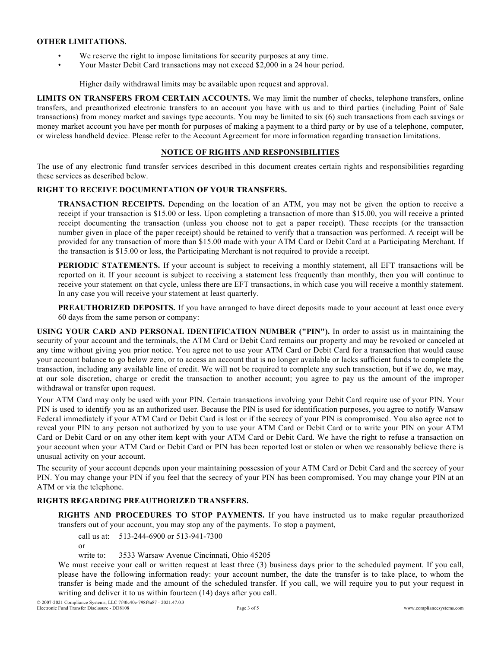### OTHER LIMITATIONS.

- We reserve the right to impose limitations for security purposes at any time.
- Your Master Debit Card transactions may not exceed \$2,000 in a 24 hour period.

Higher daily withdrawal limits may be available upon request and approval.

LIMITS ON TRANSFERS FROM CERTAIN ACCOUNTS. We may limit the number of checks, telephone transfers, online transfers, and preauthorized electronic transfers to an account you have with us and to third parties (including Point of Sale transactions) from money market and savings type accounts. You may be limited to six (6) such transactions from each savings or money market account you have per month for purposes of making a payment to a third party or by use of a telephone, computer, or wireless handheld device. Please refer to the Account Agreement for more information regarding transaction limitations.

### NOTICE OF RIGHTS AND RESPONSIBILITIES

The use of any electronic fund transfer services described in this document creates certain rights and responsibilities regarding these services as described below.

# RIGHT TO RECEIVE DOCUMENTATION OF YOUR TRANSFERS.

TRANSACTION RECEIPTS. Depending on the location of an ATM, you may not be given the option to receive a receipt if your transaction is \$15.00 or less. Upon completing a transaction of more than \$15.00, you will receive a printed receipt documenting the transaction (unless you choose not to get a paper receipt). These receipts (or the transaction number given in place of the paper receipt) should be retained to verify that a transaction was performed. A receipt will be provided for any transaction of more than \$15.00 made with your ATM Card or Debit Card at a Participating Merchant. If the transaction is \$15.00 or less, the Participating Merchant is not required to provide a receipt.

PERIODIC STATEMENTS. If your account is subject to receiving a monthly statement, all EFT transactions will be reported on it. If your account is subject to receiving a statement less frequently than monthly, then you will continue to receive your statement on that cycle, unless there are EFT transactions, in which case you will receive a monthly statement. In any case you will receive your statement at least quarterly.

PREAUTHORIZED DEPOSITS. If you have arranged to have direct deposits made to your account at least once every 60 days from the same person or company:

USING YOUR CARD AND PERSONAL IDENTIFICATION NUMBER ("PIN"). In order to assist us in maintaining the security of your account and the terminals, the ATM Card or Debit Card remains our property and may be revoked or canceled at any time without giving you prior notice. You agree not to use your ATM Card or Debit Card for a transaction that would cause your account balance to go below zero, or to access an account that is no longer available or lacks sufficient funds to complete the transaction, including any available line of credit. We will not be required to complete any such transaction, but if we do, we may, at our sole discretion, charge or credit the transaction to another account; you agree to pay us the amount of the improper withdrawal or transfer upon request.

Your ATM Card may only be used with your PIN. Certain transactions involving your Debit Card require use of your PIN. Your PIN is used to identify you as an authorized user. Because the PIN is used for identification purposes, you agree to notify Warsaw Federal immediately if your ATM Card or Debit Card is lost or if the secrecy of your PIN is compromised. You also agree not to reveal your PIN to any person not authorized by you to use your ATM Card or Debit Card or to write your PIN on your ATM Card or Debit Card or on any other item kept with your ATM Card or Debit Card. We have the right to refuse a transaction on your account when your ATM Card or Debit Card or PIN has been reported lost or stolen or when we reasonably believe there is unusual activity on your account.

The security of your account depends upon your maintaining possession of your ATM Card or Debit Card and the secrecy of your PIN. You may change your PIN if you feel that the secrecy of your PIN has been compromised. You may change your PIN at an ATM or via the telephone.

# RIGHTS REGARDING PREAUTHORIZED TRANSFERS.

RIGHTS AND PROCEDURES TO STOP PAYMENTS. If you have instructed us to make regular preauthorized transfers out of your account, you may stop any of the payments. To stop a payment,

call us at: 513-244-6900 or 513-941-7300

or

write to: 3533 Warsaw Avenue Cincinnati, Ohio 45205

We must receive your call or written request at least three (3) business days prior to the scheduled payment. If you call, please have the following information ready: your account number, the date the transfer is to take place, to whom the transfer is being made and the amount of the scheduled transfer. If you call, we will require you to put your request in writing and deliver it to us within fourteen (14) days after you call.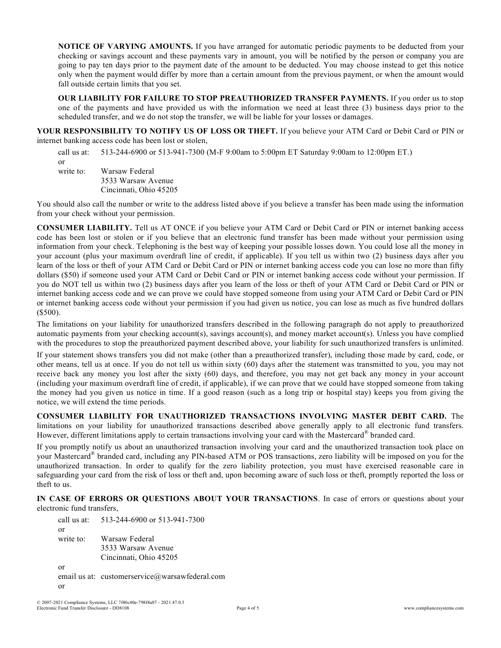NOTICE OF VARYING AMOUNTS. If you have arranged for automatic periodic payments to be deducted from your checking or savings account and these payments vary in amount, you will be notified by the person or company you are going to pay ten days prior to the payment date of the amount to be deducted. You may choose instead to get this notice only when the payment would differ by more than a certain amount from the previous payment, or when the amount would fall outside certain limits that you set.

OUR LIABILITY FOR FAILURE TO STOP PREAUTHORIZED TRANSFER PAYMENTS. If you order us to stop one of the payments and have provided us with the information we need at least three (3) business days prior to the scheduled transfer, and we do not stop the transfer, we will be liable for your losses or damages.

YOUR RESPONSIBILITY TO NOTIFY US OF LOSS OR THEFT. If you believe your ATM Card or Debit Card or PIN or internet banking access code has been lost or stolen,

call us at: 513-244-6900 or 513-941-7300 (M-F 9:00am to 5:00pm ET Saturday 9:00am to 12:00pm ET.) or write to: Warsaw Federal 3533 Warsaw Avenue Cincinnati, Ohio 45205

You should also call the number or write to the address listed above if you believe a transfer has been made using the information from your check without your permission.

CONSUMER LIABILITY. Tell us AT ONCE if you believe your ATM Card or Debit Card or PIN or internet banking access code has been lost or stolen or if you believe that an electronic fund transfer has been made without your permission using information from your check. Telephoning is the best way of keeping your possible losses down. You could lose all the money in your account (plus your maximum overdraft line of credit, if applicable). If you tell us within two (2) business days after you learn of the loss or theft of your ATM Card or Debit Card or PIN or internet banking access code you can lose no more than fifty dollars (\$50) if someone used your ATM Card or Debit Card or PIN or internet banking access code without your permission. If you do NOT tell us within two (2) business days after you learn of the loss or theft of your ATM Card or Debit Card or PIN or internet banking access code and we can prove we could have stopped someone from using your ATM Card or Debit Card or PIN or internet banking access code without your permission if you had given us notice, you can lose as much as five hundred dollars (\$500).

The limitations on your liability for unauthorized transfers described in the following paragraph do not apply to preauthorized automatic payments from your checking account(s), savings account(s), and money market account(s). Unless you have complied with the procedures to stop the preauthorized payment described above, your liability for such unauthorized transfers is unlimited.

If your statement shows transfers you did not make (other than a preauthorized transfer), including those made by card, code, or other means, tell us at once. If you do not tell us within sixty (60) days after the statement was transmitted to you, you may not receive back any money you lost after the sixty (60) days, and therefore, you may not get back any money in your account (including your maximum overdraft line of credit, if applicable), if we can prove that we could have stopped someone from taking the money had you given us notice in time. If a good reason (such as a long trip or hospital stay) keeps you from giving the notice, we will extend the time periods.

CONSUMER LIABILITY FOR UNAUTHORIZED TRANSACTIONS INVOLVING MASTER DEBIT CARD. The limitations on your liability for unauthorized transactions described above generally apply to all electronic fund transfers. However, different limitations apply to certain transactions involving your card with the Mastercard® branded card.

If you promptly notify us about an unauthorized transaction involving your card and the unauthorized transaction took place on your Mastercard® branded card, including any PIN-based ATM or POS transactions, zero liability will be imposed on you for the unauthorized transaction. In order to qualify for the zero liability protection, you must have exercised reasonable care in safeguarding your card from the risk of loss or theft and, upon becoming aware of such loss or theft, promptly reported the loss or theft to us.

IN CASE OF ERRORS OR QUESTIONS ABOUT YOUR TRANSACTIONS. In case of errors or questions about your electronic fund transfers,

call us at: 513-244-6900 or 513-941-7300 or write to: Warsaw Federal 3533 Warsaw Avenue Cincinnati, Ohio 45205 or email us at: customerservice@warsawfederal.com or